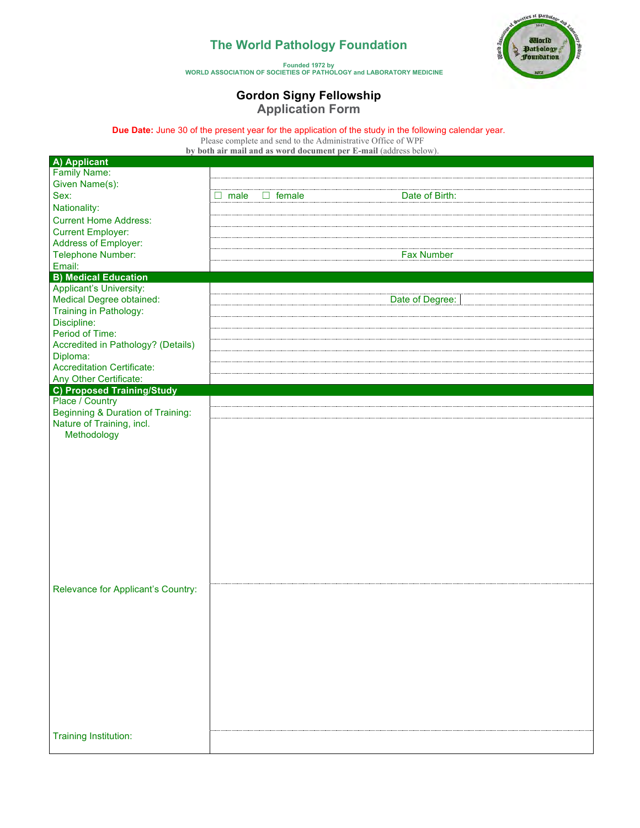## **The World Pathology Foundation**



**Founded 1972 by WORLD ASSOCIATION OF SOCIETIES OF PATHOLOGY and LABORATORY MEDICINE**

## **Gordon Signy Fellowship Application Form**

**Due Date:** June 30 of the present year for the application of the study in the following calendar year.

Please complete and send to the Administrative Office of WPF

**by both air mail and as word document per E-mail** (address below).

| A) Applicant                                 |                                         |
|----------------------------------------------|-----------------------------------------|
| <b>Family Name:</b>                          |                                         |
| Given Name(s):                               |                                         |
| Sex:                                         | Date of Birth:<br>male<br>$\Box$ female |
| Nationality:                                 |                                         |
| <b>Current Home Address:</b>                 |                                         |
| <b>Current Employer:</b>                     |                                         |
|                                              |                                         |
| Address of Employer:                         |                                         |
| <b>Telephone Number:</b>                     | <b>Fax Number</b>                       |
| Email:                                       |                                         |
| <b>B) Medical Education</b>                  |                                         |
| <b>Applicant's University:</b>               |                                         |
| <b>Medical Degree obtained:</b>              | Date of Degree:                         |
| Training in Pathology:                       |                                         |
| Discipline:                                  |                                         |
| Period of Time:                              |                                         |
| Accredited in Pathology? (Details)           |                                         |
| Diploma:                                     |                                         |
| <b>Accreditation Certificate:</b>            |                                         |
| Any Other Certificate:                       |                                         |
| <b>C) Proposed Training/Study</b>            |                                         |
| Place / Country                              |                                         |
| <b>Beginning &amp; Duration of Training:</b> |                                         |
| Nature of Training, incl.                    |                                         |
| Methodology                                  |                                         |
|                                              |                                         |
|                                              |                                         |
|                                              |                                         |
|                                              |                                         |
|                                              |                                         |
|                                              |                                         |
|                                              |                                         |
|                                              |                                         |
|                                              |                                         |
|                                              |                                         |
|                                              |                                         |
|                                              |                                         |
|                                              |                                         |
|                                              |                                         |
| Relevance for Applicant's Country:           |                                         |
|                                              |                                         |
|                                              |                                         |
|                                              |                                         |
|                                              |                                         |
|                                              |                                         |
|                                              |                                         |
|                                              |                                         |
|                                              |                                         |
|                                              |                                         |
|                                              |                                         |
|                                              |                                         |
|                                              |                                         |
|                                              |                                         |
| <b>Training Institution:</b>                 |                                         |
|                                              |                                         |